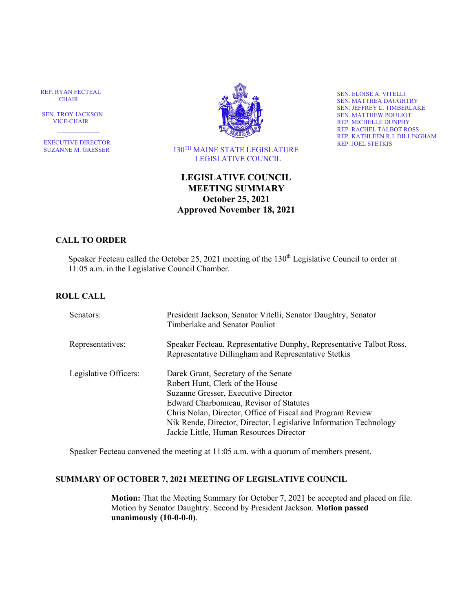REP. RYAN FECTEAU CHAIR

 SEN. TROY JACKSON VICE-CHAIR

٦ EXECUTIVE DIRECTOR SUZANNE M. GRESSER



 130TH MAINE STATE LEGISLATURE LEGISLATIVE COUNCIL

SEN. ELOISE A. VITELLI SEN. MATTHEA DAUGHTRY SEN. JEFFREY L. TIMBERLAKE SEN. MATTHEW POULIOT REP. MICHELLE DUNPHY REP. RACHEL TALBOT ROSS REP. KATHLEEN R.J. DILLINGHAM REP. JOEL STETKIS

# **LEGISLATIVE COUNCIL MEETING SUMMARY October 25, 2021 Approved November 18, 2021**

## **CALL TO ORDER**

Speaker Fecteau called the October 25, 2021 meeting of the 130<sup>th</sup> Legislative Council to order at 11:05 a.m. in the Legislative Council Chamber.

#### **ROLL CALL**

| Senators:             | President Jackson, Senator Vitelli, Senator Daughtry, Senator<br>Timberlake and Senator Pouliot                                                                                                                                                                                                                                         |
|-----------------------|-----------------------------------------------------------------------------------------------------------------------------------------------------------------------------------------------------------------------------------------------------------------------------------------------------------------------------------------|
| Representatives:      | Speaker Fecteau, Representative Dunphy, Representative Talbot Ross,<br>Representative Dillingham and Representative Stetkis                                                                                                                                                                                                             |
| Legislative Officers: | Darek Grant, Secretary of the Senate<br>Robert Hunt, Clerk of the House<br>Suzanne Gresser, Executive Director<br>Edward Charbonneau, Revisor of Statutes<br>Chris Nolan, Director, Office of Fiscal and Program Review<br>Nik Rende, Director, Director, Legislative Information Technology<br>Jackie Little, Human Resources Director |

Speaker Fecteau convened the meeting at 11:05 a.m. with a quorum of members present.

## **SUMMARY OF OCTOBER 7, 2021 MEETING OF LEGISLATIVE COUNCIL**

**Motion:** That the Meeting Summary for October 7, 2021 be accepted and placed on file. Motion by Senator Daughtry. Second by President Jackson. **Motion passed unanimously (10-0-0-0)**.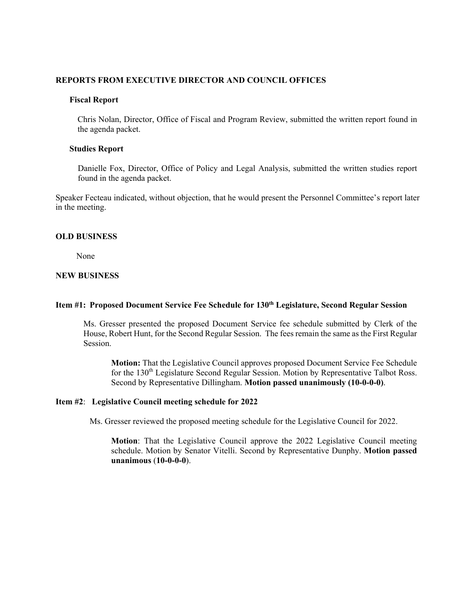#### **REPORTS FROM EXECUTIVE DIRECTOR AND COUNCIL OFFICES**

#### **Fiscal Report**

Chris Nolan, Director, Office of Fiscal and Program Review, submitted the written report found in the agenda packet.

#### **Studies Report**

Danielle Fox, Director, Office of Policy and Legal Analysis, submitted the written studies report found in the agenda packet.

Speaker Fecteau indicated, without objection, that he would present the Personnel Committee's report later in the meeting.

#### **OLD BUSINESS**

None

#### **NEW BUSINESS**

#### **Item #1: Proposed Document Service Fee Schedule for 130th Legislature, Second Regular Session**

Ms. Gresser presented the proposed Document Service fee schedule submitted by Clerk of the House, Robert Hunt, for the Second Regular Session. The fees remain the same as the First Regular Session.

**Motion:** That the Legislative Council approves proposed Document Service Fee Schedule for the 130<sup>th</sup> Legislature Second Regular Session. Motion by Representative Talbot Ross. Second by Representative Dillingham. **Motion passed unanimously (10-0-0-0)**.

#### **Item #2**: **Legislative Council meeting schedule for 2022**

Ms. Gresser reviewed the proposed meeting schedule for the Legislative Council for 2022.

**Motion**: That the Legislative Council approve the 2022 Legislative Council meeting schedule. Motion by Senator Vitelli. Second by Representative Dunphy. **Motion passed unanimous** (**10-0-0-0**).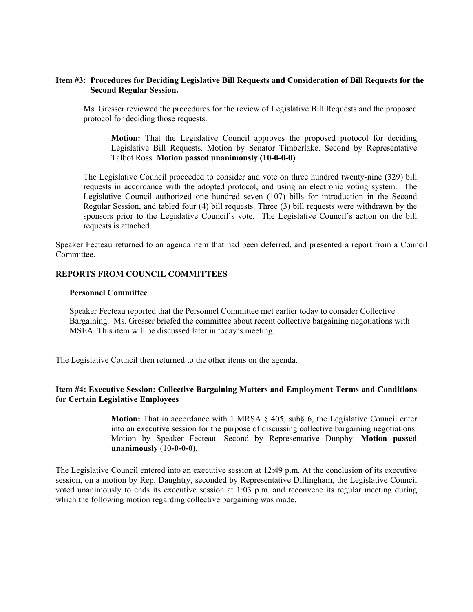### **Item #3: Procedures for Deciding Legislative Bill Requests and Consideration of Bill Requests for the Second Regular Session.**

Ms. Gresser reviewed the procedures for the review of Legislative Bill Requests and the proposed protocol for deciding those requests.

**Motion:** That the Legislative Council approves the proposed protocol for deciding Legislative Bill Requests. Motion by Senator Timberlake. Second by Representative Talbot Ross. **Motion passed unanimously (10-0-0-0)**.

The Legislative Council proceeded to consider and vote on three hundred twenty-nine (329) bill requests in accordance with the adopted protocol, and using an electronic voting system. The Legislative Council authorized one hundred seven (107) bills for introduction in the Second Regular Session, and tabled four (4) bill requests. Three (3) bill requests were withdrawn by the sponsors prior to the Legislative Council's vote. The Legislative Council's action on the bill requests is attached.

Speaker Fecteau returned to an agenda item that had been deferred, and presented a report from a Council Committee.

#### **REPORTS FROM COUNCIL COMMITTEES**

#### **Personnel Committee**

Speaker Fecteau reported that the Personnel Committee met earlier today to consider Collective Bargaining. Ms. Gresser briefed the committee about recent collective bargaining negotiations with MSEA. This item will be discussed later in today's meeting.

The Legislative Council then returned to the other items on the agenda.

## **Item #4: Executive Session: Collective Bargaining Matters and Employment Terms and Conditions for Certain Legislative Employees**

**Motion:** That in accordance with 1 MRSA § 405, sub§ 6, the Legislative Council enter into an executive session for the purpose of discussing collective bargaining negotiations. Motion by Speaker Fecteau. Second by Representative Dunphy. **Motion passed unanimously** (10**-0-0-0)**.

The Legislative Council entered into an executive session at 12:49 p.m. At the conclusion of its executive session, on a motion by Rep. Daughtry, seconded by Representative Dillingham, the Legislative Council voted unanimously to ends its executive session at 1:03 p.m. and reconvene its regular meeting during which the following motion regarding collective bargaining was made.